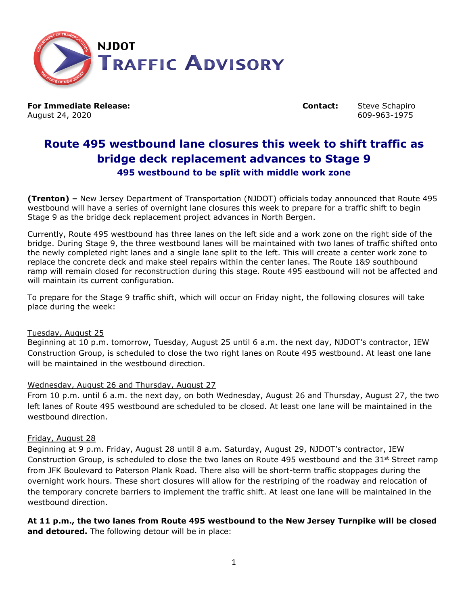

**For Immediate Release: Contact:** Steve Schapiro August 24, 2020 **609-963-1975** 609-963-1975

# **Route 495 westbound lane closures this week to shift traffic as bridge deck replacement advances to Stage 9 495 westbound to be split with middle work zone**

**(Trenton) –** New Jersey Department of Transportation (NJDOT) officials today announced that Route 495 westbound will have a series of overnight lane closures this week to prepare for a traffic shift to begin Stage 9 as the bridge deck replacement project advances in North Bergen.

Currently, Route 495 westbound has three lanes on the left side and a work zone on the right side of the bridge. During Stage 9, the three westbound lanes will be maintained with two lanes of traffic shifted onto the newly completed right lanes and a single lane split to the left. This will create a center work zone to replace the concrete deck and make steel repairs within the center lanes. The Route 1&9 southbound ramp will remain closed for reconstruction during this stage. Route 495 eastbound will not be affected and will maintain its current configuration.

To prepare for the Stage 9 traffic shift, which will occur on Friday night, the following closures will take place during the week:

## Tuesday, August 25

Beginning at 10 p.m. tomorrow, Tuesday, August 25 until 6 a.m. the next day, NJDOT's contractor, IEW Construction Group, is scheduled to close the two right lanes on Route 495 westbound. At least one lane will be maintained in the westbound direction.

## Wednesday, August 26 and Thursday, August 27

From 10 p.m. until 6 a.m. the next day, on both Wednesday, August 26 and Thursday, August 27, the two left lanes of Route 495 westbound are scheduled to be closed. At least one lane will be maintained in the westbound direction.

## Friday, August 28

Beginning at 9 p.m. Friday, August 28 until 8 a.m. Saturday, August 29, NJDOT's contractor, IEW Construction Group, is scheduled to close the two lanes on Route 495 westbound and the  $31<sup>st</sup>$  Street ramp from JFK Boulevard to Paterson Plank Road. There also will be short-term traffic stoppages during the overnight work hours. These short closures will allow for the restriping of the roadway and relocation of the temporary concrete barriers to implement the traffic shift. At least one lane will be maintained in the westbound direction.

**At 11 p.m., the two lanes from Route 495 westbound to the New Jersey Turnpike will be closed and detoured.** The following detour will be in place: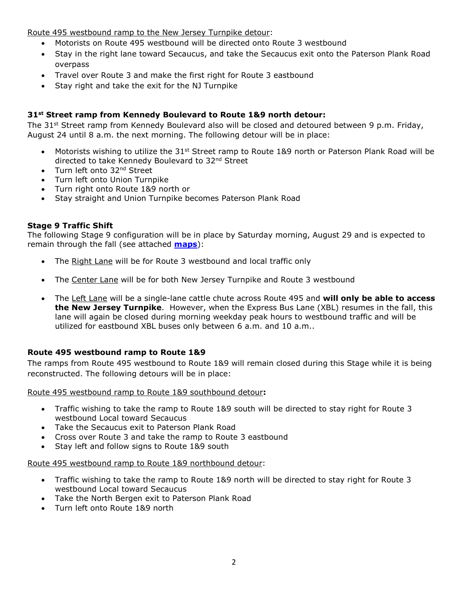Route 495 westbound ramp to the New Jersey Turnpike detour:

- Motorists on Route 495 westbound will be directed onto Route 3 westbound
- Stay in the right lane toward Secaucus, and take the Secaucus exit onto the Paterson Plank Road overpass
- Travel over Route 3 and make the first right for Route 3 eastbound
- Stay right and take the exit for the NJ Turnpike

## **31st Street ramp from Kennedy Boulevard to Route 1&9 north detour:**

The 31<sup>st</sup> Street ramp from Kennedy Boulevard also will be closed and detoured between 9 p.m. Friday, August 24 until 8 a.m. the next morning. The following detour will be in place:

- Motorists wishing to utilize the 31<sup>st</sup> Street ramp to Route 1&9 north or Paterson Plank Road will be directed to take Kennedy Boulevard to 32nd Street
- Turn left onto 32<sup>nd</sup> Street
- Turn left onto Union Turnpike
- Turn right onto Route 1&9 north or
- Stay straight and Union Turnpike becomes Paterson Plank Road

## **Stage 9 Traffic Shift**

The following Stage 9 configuration will be in place by Saturday morning, August 29 and is expected to remain through the fall (see attached **[maps](https://www.state.nj.us/transportation/uploads/comm/news/details/comm_np_20200824_155127_Route_495_-_Stage_9_traffic_pattern.pdf)**):

- The Right Lane will be for Route 3 westbound and local traffic only
- The Center Lane will be for both New Jersey Turnpike and Route 3 westbound
- The Left Lane will be a single-lane cattle chute across Route 495 and **will only be able to access the New Jersey Turnpike**. However, when the Express Bus Lane (XBL) resumes in the fall, this lane will again be closed during morning weekday peak hours to westbound traffic and will be utilized for eastbound XBL buses only between 6 a.m. and 10 a.m..

## **Route 495 westbound ramp to Route 1&9**

The ramps from Route 495 westbound to Route 1&9 will remain closed during this Stage while it is being reconstructed. The following detours will be in place:

Route 495 westbound ramp to Route 1&9 southbound detour**:**

- Traffic wishing to take the ramp to Route 1&9 south will be directed to stay right for Route 3 westbound Local toward Secaucus
- Take the Secaucus exit to Paterson Plank Road
- Cross over Route 3 and take the ramp to Route 3 eastbound
- Stay left and follow signs to Route 1&9 south

## Route 495 westbound ramp to Route 1&9 northbound detour:

- Traffic wishing to take the ramp to Route 1&9 north will be directed to stay right for Route 3 westbound Local toward Secaucus
- Take the North Bergen exit to Paterson Plank Road
- Turn left onto Route 1&9 north